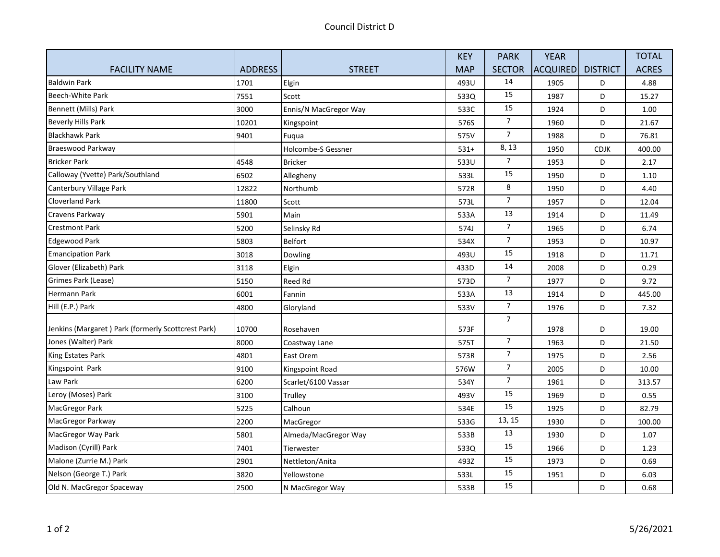|                                                    |                |                           | <b>KEY</b> | <b>PARK</b>    | <b>YEAR</b> |                 | <b>TOTAL</b> |
|----------------------------------------------------|----------------|---------------------------|------------|----------------|-------------|-----------------|--------------|
| <b>FACILITY NAME</b>                               | <b>ADDRESS</b> | <b>STREET</b>             | <b>MAP</b> | <b>SECTOR</b>  | ACQUIRED    | <b>DISTRICT</b> | <b>ACRES</b> |
| <b>Baldwin Park</b>                                | 1701           | Elgin                     | 493U       | 14             | 1905        | D               | 4.88         |
| <b>Beech-White Park</b>                            | 7551           | Scott                     | 533Q       | 15             | 1987        | D               | 15.27        |
| Bennett (Mills) Park                               | 3000           | Ennis/N MacGregor Way     | 533C       | 15             | 1924        | D               | 1.00         |
| <b>Beverly Hills Park</b>                          | 10201          | Kingspoint                | 576S       | $\overline{7}$ | 1960        | D               | 21.67        |
| <b>Blackhawk Park</b>                              | 9401           | Fuqua                     | 575V       | $\overline{7}$ | 1988        | D               | 76.81        |
| Braeswood Parkway                                  |                | <b>Holcombe-S Gessner</b> | $531+$     | 8, 13          | 1950        | <b>CDJK</b>     | 400.00       |
| <b>Bricker Park</b>                                | 4548           | <b>Bricker</b>            | 533U       | $\overline{7}$ | 1953        | D               | 2.17         |
| Calloway (Yvette) Park/Southland                   | 6502           | Allegheny                 | 533L       | 15             | 1950        | D               | 1.10         |
| Canterbury Village Park                            | 12822          | Northumb                  | 572R       | 8              | 1950        | D               | 4.40         |
| <b>Cloverland Park</b>                             | 11800          | Scott                     | 573L       | $\overline{7}$ | 1957        | D               | 12.04        |
| Cravens Parkway                                    | 5901           | Main                      | 533A       | 13             | 1914        | D               | 11.49        |
| <b>Crestmont Park</b>                              | 5200           | Selinsky Rd               | 574J       | $\overline{7}$ | 1965        | D               | 6.74         |
| <b>Edgewood Park</b>                               | 5803           | <b>Belfort</b>            | 534X       | $\overline{7}$ | 1953        | D               | 10.97        |
| <b>Emancipation Park</b>                           | 3018           | Dowling                   | 493U       | 15             | 1918        | D               | 11.71        |
| Glover (Elizabeth) Park                            | 3118           | Elgin                     | 433D       | 14             | 2008        | D               | 0.29         |
| Grimes Park (Lease)                                | 5150           | Reed Rd                   | 573D       | $\overline{7}$ | 1977        | D               | 9.72         |
| Hermann Park                                       | 6001           | Fannin                    | 533A       | 13             | 1914        | D               | 445.00       |
| Hill (E.P.) Park                                   | 4800           | Gloryland                 | 533V       | $\overline{7}$ | 1976        | D               | 7.32         |
| Jenkins (Margaret) Park (formerly Scottcrest Park) | 10700          | Rosehaven                 | 573F       | $\overline{7}$ | 1978        | D               | 19.00        |
| Jones (Walter) Park                                | 8000           | Coastway Lane             | 575T       | $\overline{7}$ | 1963        | D               | 21.50        |
| King Estates Park                                  | 4801           | East Orem                 | 573R       | $\overline{7}$ | 1975        | D               | 2.56         |
| Kingspoint Park                                    | 9100           | Kingspoint Road           | 576W       | $\overline{7}$ | 2005        | D               | 10.00        |
| Law Park                                           | 6200           | Scarlet/6100 Vassar       | 534Y       | $\overline{7}$ | 1961        | D               | 313.57       |
| Leroy (Moses) Park                                 | 3100           | Trulley                   | 493V       | 15             | 1969        | D               | 0.55         |
| MacGregor Park                                     | 5225           | Calhoun                   | 534E       | 15             | 1925        | D               | 82.79        |
| MacGregor Parkway                                  | 2200           | MacGregor                 | 533G       | 13, 15         | 1930        | D               | 100.00       |
| MacGregor Way Park                                 | 5801           | Almeda/MacGregor Way      | 533B       | 13             | 1930        | D               | 1.07         |
| Madison (Cyrill) Park                              | 7401           | Tierwester                | 533Q       | 15             | 1966        | D               | 1.23         |
| Malone (Zurrie M.) Park                            | 2901           | Nettleton/Anita           | 493Z       | 15             | 1973        | D               | 0.69         |
| Nelson (George T.) Park                            | 3820           | Yellowstone               | 533L       | 15             | 1951        | D               | 6.03         |
| Old N. MacGregor Spaceway                          | 2500           | N MacGregor Way           | 533B       | 15             |             | D               | 0.68         |